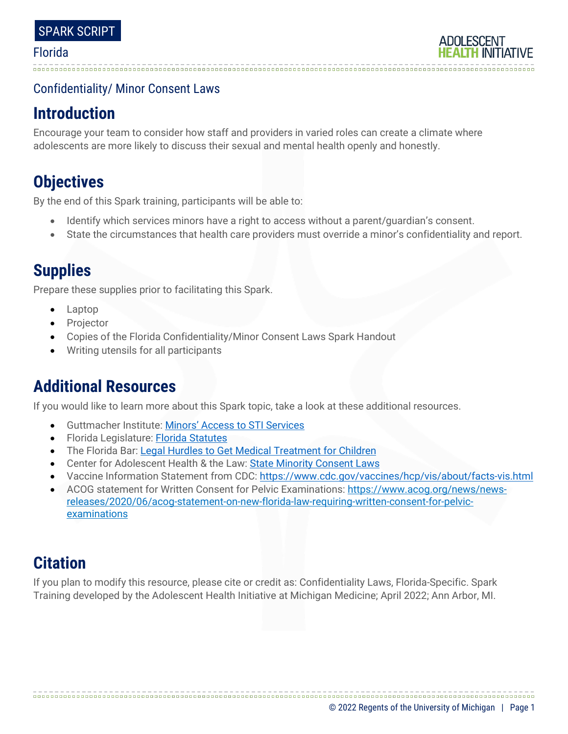# Confidentiality/ Minor Consent Laws

# **Introduction**

Encourage your team to consider how staff and providers in varied roles can create a climate where adolescents are more likely to discuss their sexual and mental health openly and honestly.

# **Objectives**

By the end of this Spark training, participants will be able to:

- Identify which services minors have a right to access without a parent/guardian's consent.
- State the circumstances that health care providers must override a minor's confidentiality and report.

# **Supplies**

Prepare these supplies prior to facilitating this Spark.

- Laptop
- **Projector**
- Copies of the Florida Confidentiality/Minor Consent Laws Spark Handout
- Writing utensils for all participants

# **Additional Resources**

If you would like to learn more about this Spark topic, take a look at these additional resources.

- Guttmacher Institute: [Minors' Access to STI Services](https://www.guttmacher.org/state-policy/explore/minors-access-sti-services)
- Florida Legislature: [Florida Statutes](http://www.leg.state.fl.us/Statutes/index.cfm?App_mode=Display_Statute&Search_String=&URL=0300-0399/0394/Sections/0394.4784.html)
- The Florida Bar: [Legal Hurdles to Get Medical Treatment for Children](https://www.floridabar.org/the-florida-bar-journal/legal-hurdles-to-leap-to-get-medical-treatment-for-children/)
- Center for Adolescent Health & the Law: [State Minority Consent Laws](https://www.freelists.org/archives/hilac/02-2014/pdftRo8tw89mb.pdf)
- Vaccine Information Statement from CDC:<https://www.cdc.gov/vaccines/hcp/vis/about/facts-vis.html>
- ACOG statement for Written Consent for Pelvic Examinations: [https://www.acog.org/news/news](https://www.acog.org/news/news-releases/2020/06/acog-statement-on-new-florida-law-requiring-written-consent-for-pelvic-examinations)[releases/2020/06/acog-statement-on-new-florida-law-requiring-written-consent-for-pelvic](https://www.acog.org/news/news-releases/2020/06/acog-statement-on-new-florida-law-requiring-written-consent-for-pelvic-examinations)[examinations](https://www.acog.org/news/news-releases/2020/06/acog-statement-on-new-florida-law-requiring-written-consent-for-pelvic-examinations)

# **Citation**

If you plan to modify this resource, please cite or credit as: Confidentiality Laws, Florida-Specific. Spark Training developed by the Adolescent Health Initiative at Michigan Medicine; April 2022; Ann Arbor, MI.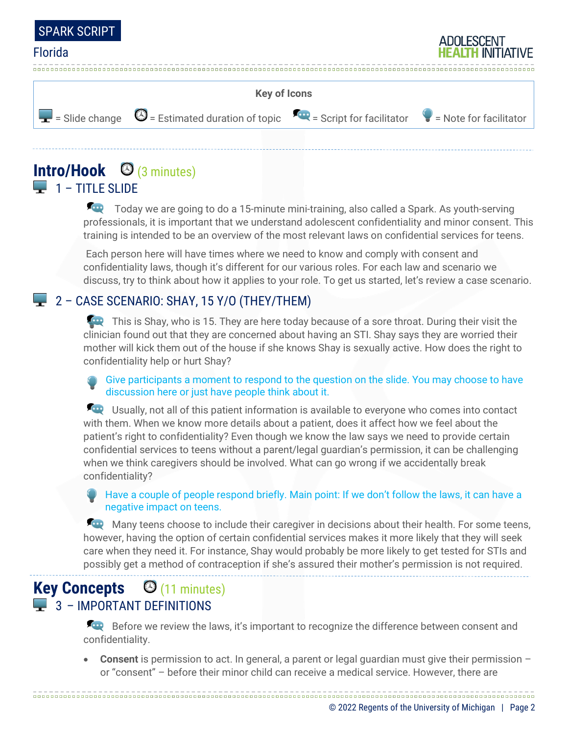



# **Intro/Hook** (3 minutes)  $\Box$  1 – TITLE SLIDE

Today we are going to do a 15-minute mini-training, also called a Spark. As youth-serving professionals, it is important that we understand adolescent confidentiality and minor consent. This training is intended to be an overview of the most relevant laws on confidential services for teens.

Each person here will have times where we need to know and comply with consent and confidentiality laws, though it's different for our various roles. For each law and scenario we discuss, try to think about how it applies to your role. To get us started, let's review a case scenario.

# 2 – CASE SCENARIO: SHAY, 15 Y/O (THEY/THEM)

This is Shay, who is 15. They are here today because of a sore throat. During their visit the clinician found out that they are concerned about having an STI. Shay says they are worried their mother will kick them out of the house if she knows Shay is sexually active. How does the right to confidentiality help or hurt Shay?

Give participants a moment to respond to the question on the slide. You may choose to have discussion here or just have people think about it.

Usually, not all of this patient information is available to everyone who comes into contact with them. When we know more details about a patient, does it affect how we feel about the patient's right to confidentiality? Even though we know the law says we need to provide certain confidential services to teens without a parent/legal guardian's permission, it can be challenging when we think caregivers should be involved. What can go wrong if we accidentally break confidentiality?

#### Have a couple of people respond briefly. Main point: If we don't follow the laws, it can have a negative impact on teens.

Many teens choose to include their caregiver in decisions about their health. For some teens, however, having the option of certain confidential services makes it more likely that they will seek care when they need it. For instance, Shay would probably be more likely to get tested for STIs and possibly get a method of contraception if she's assured their mother's permission is not required.

# **Key Concepts** (11 minutes) **3 - IMPORTANT DEFINITIONS**

Before we review the laws, it's important to recognize the difference between consent and confidentiality.

• **Consent** is permission to act. In general, a parent or legal guardian must give their permission – or "consent" – before their minor child can receive a medical service. However, there are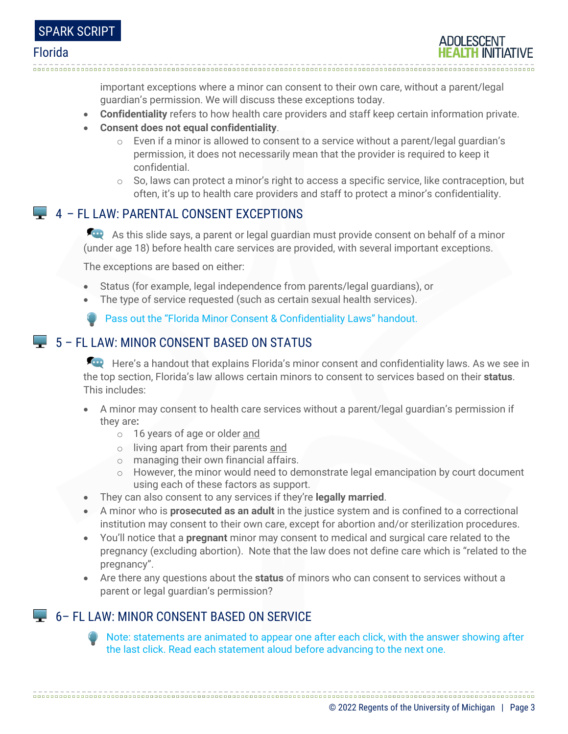

important exceptions where a minor can consent to their own care, without a parent/legal guardian's permission. We will discuss these exceptions today.

- **Confidentiality** refers to how health care providers and staff keep certain information private.
- **Consent does not equal confidentiality**.
	- $\circ$  Even if a minor is allowed to consent to a service without a parent/legal quardian's permission, it does not necessarily mean that the provider is required to keep it confidential.
	- $\circ$  So, laws can protect a minor's right to access a specific service, like contraception, but often, it's up to health care providers and staff to protect a minor's confidentiality.

## 4 – FL LAW: PARENTAL CONSENT EXCEPTIONS

As this slide says, a parent or legal guardian must provide consent on behalf of a minor (under age 18) before health care services are provided, with several important exceptions.

The exceptions are based on either:

- Status (for example, legal independence from parents/legal guardians), or
- The type of service requested (such as certain sexual health services).

Pass out the "Florida Minor Consent & Confidentiality Laws" handout.

## $\Box$  5 – FL LAW: MINOR CONSENT BASED ON STATUS

Here's a handout that explains Florida's minor consent and confidentiality laws. As we see in the top section, Florida's law allows certain minors to consent to services based on their **status**. This includes:

- A minor may consent to health care services without a parent/legal guardian's permission if they are**:**
	- o 16 years of age or older and
	- o living apart from their parents and
	- o managing their own financial affairs.
	- $\circ$  However, the minor would need to demonstrate legal emancipation by court document using each of these factors as support.
- They can also consent to any services if they're **legally married**.
- A minor who is **prosecuted as an adult** in the justice system and is confined to a correctional institution may consent to their own care, except for abortion and/or sterilization procedures.
- You'll notice that a **pregnant** minor may consent to medical and surgical care related to the pregnancy (excluding abortion). Note that the law does not define care which is "related to the pregnancy".
- Are there any questions about the **status** of minors who can consent to services without a parent or legal guardian's permission?

## 6– FL LAW: MINOR CONSENT BASED ON SERVICE

Note: statements are animated to appear one after each click, with the answer showing after the last click. Read each statement aloud before advancing to the next one.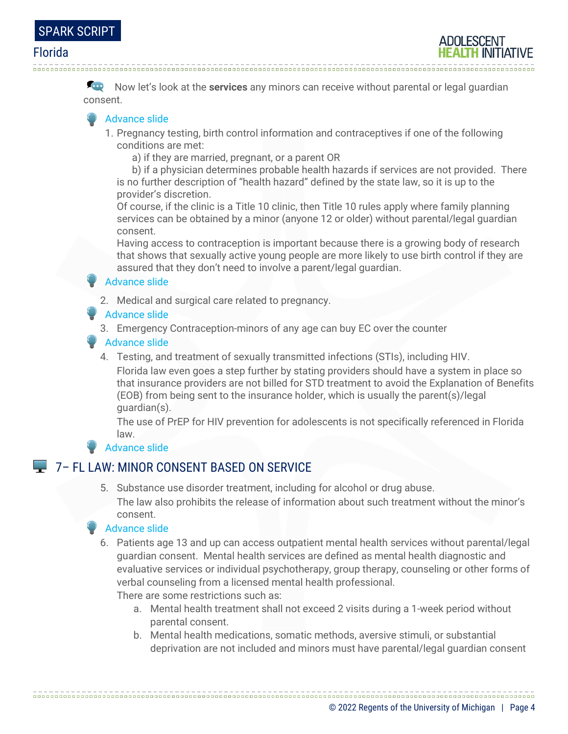

Now let's look at the **services** any minors can receive without parental or legal guardian consent.

#### Advance slide

- 1. Pregnancy testing, birth control information and contraceptives if one of the following conditions are met:
	- a) if they are married, pregnant, or a parent OR

 b) if a physician determines probable health hazards if services are not provided. There is no further description of "health hazard" defined by the state law, so it is up to the provider's discretion.

Of course, if the clinic is a Title 10 clinic, then Title 10 rules apply where family planning services can be obtained by a minor (anyone 12 or older) without parental/legal guardian consent.

Having access to contraception is important because there is a growing body of research that shows that sexually active young people are more likely to use birth control if they are assured that they don't need to involve a parent/legal guardian.

#### Advance slide

2. Medical and surgical care related to pregnancy.

#### **Advance slide**

3. Emergency Contraception-minors of any age can buy EC over the counter

#### Advance slide

4. Testing, and treatment of sexually transmitted infections (STIs), including HIV.

Florida law even goes a step further by stating providers should have a system in place so that insurance providers are not billed for STD treatment to avoid the Explanation of Benefits (EOB) from being sent to the insurance holder, which is usually the parent(s)/legal guardian(s).

The use of PrEP for HIV prevention for adolescents is not specifically referenced in Florida law.

#### Advance slide

## **7- FL LAW: MINOR CONSENT BASED ON SERVICE**

5. Substance use disorder treatment, including for alcohol or drug abuse. The law also prohibits the release of information about such treatment without the minor's consent.

#### Advance slide

6. Patients age 13 and up can access outpatient mental health services without parental/legal guardian consent. Mental health services are defined as mental health diagnostic and evaluative services or individual psychotherapy, group therapy, counseling or other forms of verbal counseling from a licensed mental health professional.

There are some restrictions such as:

a. Mental health treatment shall not exceed 2 visits during a 1-week period without parental consent.

b. Mental health medications, somatic methods, aversive stimuli, or substantial deprivation are not included and minors must have parental/legal guardian consent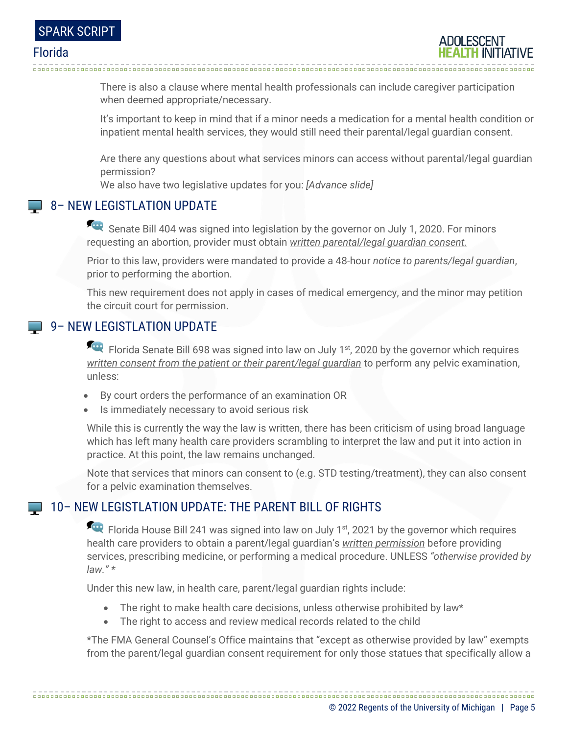There is also a clause where mental health professionals can include caregiver participation when deemed appropriate/necessary.

It's important to keep in mind that if a minor needs a medication for a mental health condition or inpatient mental health services, they would still need their parental/legal guardian consent.

Are there any questions about what services minors can access without parental/legal guardian permission?

We also have two legislative updates for you: *[Advance slide]* 

## **8 - NEW LEGISTLATION UPDATE**

Senate Bill 404 was signed into legislation by the governor on July 1, 2020. For minors requesting an abortion, provider must obtain *written parental/legal guardian consent.*

Prior to this law, providers were mandated to provide a 48-hour *notice to parents/legal guardian*, prior to performing the abortion.

This new requirement does not apply in cases of medical emergency, and the minor may petition the circuit court for permission.

## **9 - NEW LEGISTLATION UPDATE**

Florida Senate Bill 698 was signed into law on July 1<sup>st</sup>, 2020 by the governor which requires *written consent from the patient or their parent/legal guardian* to perform any pelvic examination, unless:

- By court orders the performance of an examination OR
- Is immediately necessary to avoid serious risk

While this is currently the way the law is written, there has been criticism of using broad language which has left many health care providers scrambling to interpret the law and put it into action in practice. At this point, the law remains unchanged.

Note that services that minors can consent to (e.g. STD testing/treatment), they can also consent for a pelvic examination themselves.

#### 10– NEW LEGISTLATION UPDATE: THE PARENT BILL OF RIGHTS

Fig. Florida House Bill 241 was signed into law on July 1<sup>st</sup>, 2021 by the governor which requires health care providers to obtain a parent/legal guardian's *written permission* before providing services, prescribing medicine, or performing a medical procedure. UNLESS *"otherwise provided by law." \**

Under this new law, in health care, parent/legal guardian rights include:

• The right to make health care decisions, unless otherwise prohibited by law\*

• The right to access and review medical records related to the child

\*The FMA General Counsel's Office maintains that "except as otherwise provided by law" exempts from the parent/legal guardian consent requirement for only those statues that specifically allow a

© 2022 Regents of the University of Michigan | Page 5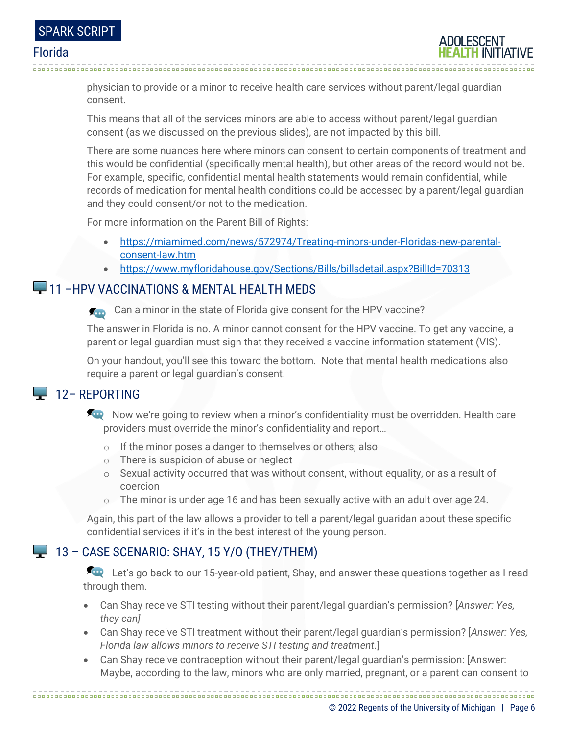

physician to provide or a minor to receive health care services without parent/legal guardian consent.

This means that all of the services minors are able to access without parent/legal guardian consent (as we discussed on the previous slides), are not impacted by this bill.

There are some nuances here where minors can consent to certain components of treatment and this would be confidential (specifically mental health), but other areas of the record would not be. For example, specific, confidential mental health statements would remain confidential, while records of medication for mental health conditions could be accessed by a parent/legal guardian and they could consent/or not to the medication.

For more information on the Parent Bill of Rights:

- [https://miamimed.com/news/572974/Treating-minors-under-Floridas-new-parental](https://miamimed.com/news/572974/Treating-minors-under-Floridas-new-parental-consent-law.htm)[consent-law.htm](https://miamimed.com/news/572974/Treating-minors-under-Floridas-new-parental-consent-law.htm)
- https://www.myfloridahouse.gov/Sections/Bills/billsdetail.aspx?BillId=70313

# **11 – HPV VACCINATIONS & MENTAL HEALTH MEDS**

Can a minor in the state of Florida give consent for the HPV vaccine?

The answer in Florida is no. A minor cannot consent for the HPV vaccine. To get any vaccine, a parent or legal guardian must sign that they received a vaccine information statement (VIS).

On your handout, you'll see this toward the bottom. Note that mental health medications also require a parent or legal guardian's consent.

# $\Box$  12– REPORTING

Now we're going to review when a minor's confidentiality must be overridden. Health care providers must override the minor's confidentiality and report…

- o If the minor poses a danger to themselves or others; also
- o There is suspicion of abuse or neglect
- o Sexual activity occurred that was without consent, without equality, or as a result of coercion
- o The minor is under age 16 and has been sexually active with an adult over age 24.

Again, this part of the law allows a provider to tell a parent/legal guaridan about these specific confidential services if it's in the best interest of the young person.

## $\Box$  13 – CASE SCENARIO: SHAY, 15 Y/O (THEY/THEM)

Let's go back to our 15-year-old patient, Shay, and answer these questions together as I read through them.

- Can Shay receive STI testing without their parent/legal guardian's permission? [*Answer: Yes, they can]*
- Can Shay receive STI treatment without their parent/legal guardian's permission? [*Answer: Yes, Florida law allows minors to receive STI testing and treatment.*]
- Can Shay receive contraception without their parent/legal guardian's permission: [Answer: Maybe, according to the law, minors who are only married, pregnant, or a parent can consent to